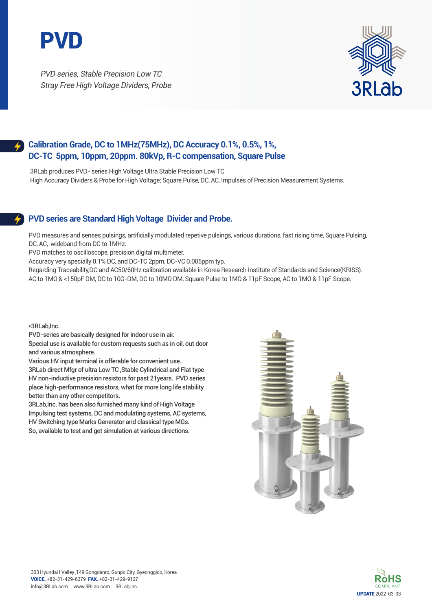

PVD series, Stable Precision Low TC Stray Free High Voltage Dividers, Probe



## **Calibration Grade, DC to 1MHz(75MHz), DC Accuracy 0.1%, 0.5%, 1%, DC-TC 5ppm, 10ppm, 20ppm. 80kVp, R-C compensation, Square Pulse**

3RLab produces PVD- series High Voltage Ultra Stable Precision Low TC High Accuracy Dividers & Probe for High Voltage; Square Pulse, DC, AC, Impulses of Precision Measurement Systems.

## **PVD series are Standard High Voltage Divider and Probe.**

PVD measures and senses pulsings, artificially modulated repetive pulsings, various durations, fast rising time, Square Pulsing, DC, AC, wideband from DC to 1MHz.

PVD matches to oscilloscope, precision digital multimeter.

Accuracy very specially 0.1% DC, and DC-TC 2ppm, DC-VC 0.005ppm typ.

Regarding Traceability,DC and AC50/60Hz calibration available in Korea Research Institute of Standards and Science(KRISS). AC to 1MΩ & <150pF DM, DC to 10G-DM, DC to 10MΩ DM, Square Pulse to 1MΩ & 11pF Scope, AC to 1MΩ & 11pF Scope.

\*3RLab,Inc.

PVD-series are basically designed for indoor use in air. Special use is available for custom requests such as in oil, out door and various atmosphere.

Various HV input terminal is offerable for convenient use.

3RLab direct Mfgr of ultra Low TC ,Stable Cylindrical and Flat type HV non-inductive precision resistors for past 21years. PVD series place high-performance resistors, what for more long life stability better than any other competitors.

3RLab,Inc. has been also furnished many kind of High Voltage Impulsing test systems, DC and modulating systems, AC systems, HV Switching type Marks Generator and classical type MGs. So, available to test and get simulation at various directions.



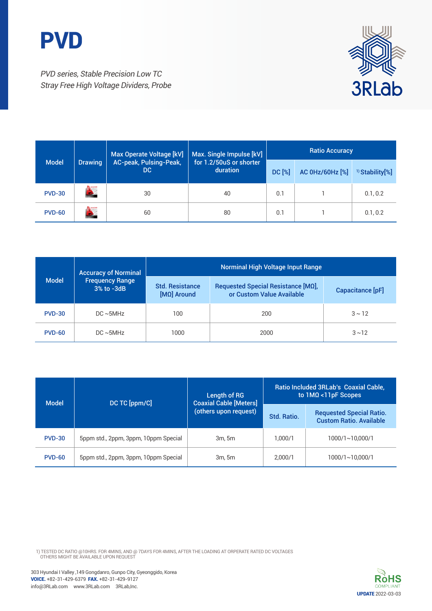



PVD series, Stable Precision Low TC Stray Free High Voltage Dividers, Probe

|               |                | Max Operate Voltage [kV]      | Max. Single Impulse [kV]            | <b>Ratio Accuracy</b>            |  |                            |
|---------------|----------------|-------------------------------|-------------------------------------|----------------------------------|--|----------------------------|
| <b>Model</b>  | <b>Drawing</b> | AC-peak, Pulsing-Peak,<br>DC. | for 1.2/50uS or shorter<br>duration | <b>DC [%]</b><br>AC 0Hz/60Hz [%] |  | <sup>1)</sup> Stability[%] |
| <b>PVD-30</b> | <b>AutoCAD</b> | 30                            | 40                                  | 0.1                              |  | 0.1, 0.2                   |
| <b>PVD-60</b> | <b>ALASCAD</b> | 60                            | 80                                  | 0.1                              |  | 0.1, 0.2                   |

| <b>Model</b>  | <b>Accuracy of Norminal</b>          | Norminal High Voltage Input Range       |                                                                 |                  |  |
|---------------|--------------------------------------|-----------------------------------------|-----------------------------------------------------------------|------------------|--|
|               | <b>Frequency Range</b><br>3% to -3dB | <b>Std. Resistance</b><br>$[MΩ]$ Around | Requested Special Resistance [ΜΩ],<br>or Custom Value Available | Capacitance [pF] |  |
| <b>PVD-30</b> | $DC \sim 5MHz$                       | 100                                     | 200                                                             | $3 \sim 12$      |  |
| <b>PVD-60</b> | $DC \sim 5MHz$                       | 1000                                    | 2000                                                            | $3 \sim 12$      |  |

| <b>Model</b>  | DC TC [ppm/C]                        | Length of RG<br><b>Coaxial Cable [Meters]</b> | Ratio Included 3RLab's Coaxial Cable,<br>to $1M\Omega$ < $11pF$ Scopes |                                                                   |  |
|---------------|--------------------------------------|-----------------------------------------------|------------------------------------------------------------------------|-------------------------------------------------------------------|--|
|               |                                      | (others upon request)                         | Std. Ratio.                                                            | <b>Requested Special Ratio.</b><br><b>Custom Ratio. Available</b> |  |
| <b>PVD-30</b> | 5ppm std., 2ppm, 3ppm, 10ppm Special | 3m.5m                                         | 1.000/1                                                                | 1000/1~10.000/1                                                   |  |
| <b>PVD-60</b> | 5ppm std., 2ppm, 3ppm, 10ppm Special | 3m.5m                                         | 2.000/1                                                                | 1000/1~10.000/1                                                   |  |

1) TESTED DC RATIO @10HRS. FOR 4MINS, AND @ 7DAYS FOR 4MINS, AFTER THE LOADING AT ORPERATE RATED DC VOLTAGES<br>OTHERS MIGHT BE AVAILABLE UPON REQUEST